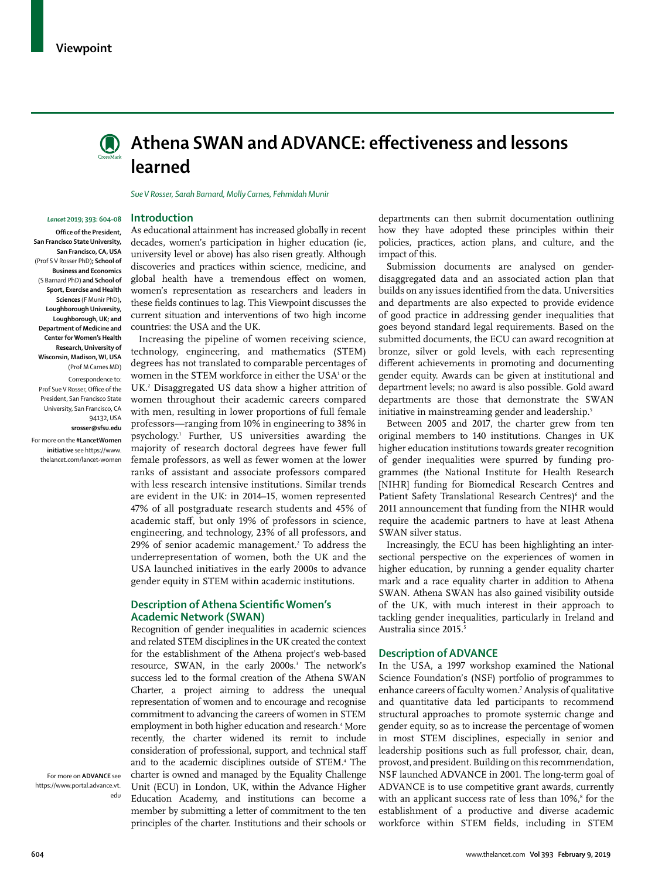

# **Athena SWAN and ADVANCE: effectiveness and lessons learned**

*Sue V Rosser, Sarah Barnard, Molly Carnes, Fehmidah Munir* 

#### **Introduction** *Lancet* **2019; 393: 604–08**

**Office of the President, San Francisco State University, San Francisco, CA, USA**  (Prof S V Rosser PhD)**; School of Business and Economics**  (S Barnard PhD) **and School of Sport, Exercise and Health Sciences** (F Munir PhD)**, Loughborough University, Loughborough, UK; and Department of Medicine and Center for Women's Health Research, University of Wisconsin, Madison, WI, USA**  (Prof M Carnes MD)

Correspondence to: Prof Sue V Rosser, Office of the President, San Francisco State University, San Francisco, CA 94132, USA **srosser@sfsu.edu**

For more on the **#LancetWomen initiative** see [https://www.](https://www.thelancet.com/lancet-women) [thelancet.com/lancet-women](https://www.thelancet.com/lancet-women) As educational attainment has increased globally in recent decades, women's participation in higher education (ie, university level or above) has also risen greatly. Although discoveries and practices within science, medicine, and global health have a tremendous effect on women, women's representation as researchers and leaders in these fields continues to lag. This Viewpoint discusses the current situation and interventions of two high income countries: the USA and the UK.

Increasing the pipeline of women receiving science, technology, engineering, and mathematics (STEM) degrees has not translated to comparable percentages of women in the STEM workforce in either the USA $^{\rm t}$  or the UK.2 Disaggregated US data show a higher attrition of women throughout their academic careers compared with men, resulting in lower proportions of full female professors—ranging from 10% in engineering to 38% in psychology.1 Further, US universities awarding the majority of research doctoral degrees have fewer full female professors, as well as fewer women at the lower ranks of assistant and associate professors compared with less research intensive institutions. Similar trends are evident in the UK: in 2014–15, women represented 47% of all postgraduate research students and 45% of academic staff, but only 19% of professors in science, engineering, and technology, 23% of all professors, and 29% of senior academic management.2 To address the underrepresentation of women, both the UK and the USA launched initiatives in the early 2000s to advance gender equity in STEM within academic institutions.

# **Description of Athena Scientific Women's Academic Network (SWAN)**

Recognition of gender inequalities in academic sciences and related STEM disciplines in the UK created the context for the establishment of the Athena project's web-based resource, SWAN, in the early 2000s.<sup>3</sup> The network's success led to the formal creation of the Athena SWAN Charter, a project aiming to address the unequal representation of women and to encourage and recognise commitment to advancing the careers of women in STEM employment in both higher education and research.<sup>4</sup> More recently, the charter widened its remit to include consideration of professional, support, and technical staff and to the academic disciplines outside of STEM.<sup>4</sup> The charter is owned and managed by the Equality Challenge Unit (ECU) in London, UK, within the Advance Higher Education Academy, and institutions can become a member by submitting a letter of commitment to the ten principles of the charter. Institutions and their schools or

departments can then submit documentation outlining how they have adopted these principles within their policies, practices, action plans, and culture, and the impact of this.

Submission documents are analysed on genderdisaggregated data and an associated action plan that builds on any issues identified from the data. Universities and departments are also expected to provide evidence of good practice in addressing gender inequalities that goes beyond standard legal requirements. Based on the submitted documents, the ECU can award recognition at bronze, silver or gold levels, with each representing different achievements in promoting and documenting gender equity. Awards can be given at institutional and department levels; no award is also possible. Gold award departments are those that demonstrate the SWAN initiative in mainstreaming gender and leadership.<sup>5</sup>

Between 2005 and 2017, the charter grew from ten original members to 140 institutions. Changes in UK higher education institutions towards greater recognition of gender inequalities were spurred by funding programmes (the National Institute for Health Research [NIHR] funding for Biomedical Research Centres and Patient Safety Translational Research Centres)<sup>6</sup> and the 2011 announcement that funding from the NIHR would require the academic partners to have at least Athena SWAN silver status.

Increasingly, the ECU has been highlighting an intersectional perspective on the experiences of women in higher education, by running a gender equality charter mark and a race equality charter in addition to Athena SWAN. Athena SWAN has also gained visibility outside of the UK, with much interest in their approach to tackling gender inequalities, particularly in Ireland and Australia since 2015.<sup>5</sup>

# **Description of ADVANCE**

In the USA, a 1997 workshop examined the National Science Foundation's (NSF) portfolio of programmes to enhance careers of faculty women.7 Analysis of qualitative and quantitative data led participants to recommend structural approaches to promote systemic change and gender equity, so as to increase the percentage of women in most STEM disciplines, especially in senior and leadership positions such as full professor, chair, dean, provost, and president. Building on this recommendation, NSF launched [ADVANCE](https://www.portal.advance.vt.edu) in 2001. The long-term goal of ADVANCE is to use competitive grant awards, currently with an applicant success rate of less than  $10\%$ ,<sup>8</sup> for the establishment of a productive and diverse academic workforce within STEM fields, including in STEM

For more on **ADVANCE** see [https://www.portal.advance.vt.](https://www.portal.advance.vt.edu)

[edu](https://www.portal.advance.vt.edu)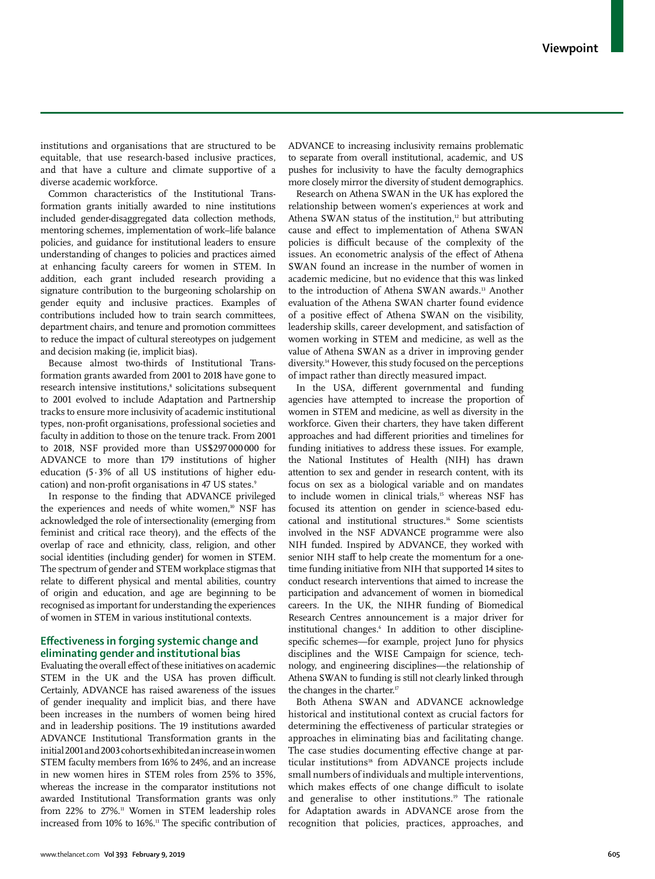institutions and organisations that are structured to be equitable, that use research-based inclusive practices, and that have a culture and climate supportive of a diverse academic workforce.

Common characteristics of the Institutional Transformation grants initially awarded to nine institutions included gender-disaggregated data collection methods, mentoring schemes, implementation of work–life balance policies, and guidance for institutional leaders to ensure understanding of changes to policies and practices aimed at enhancing faculty careers for women in STEM. In addition, each grant included research providing a signature contribution to the burgeoning scholarship on gender equity and inclusive practices. Examples of contributions included how to train search committees, department chairs, and tenure and promotion committees to reduce the impact of cultural stereotypes on judgement and decision making (ie, implicit bias).

Because almost two-thirds of Institutional Transformation grants awarded from 2001 to 2018 have gone to research intensive institutions,<sup>8</sup> solicitations subsequent to 2001 evolved to include Adaptation and Partnership tracks to ensure more inclusivity of academic institutional types, non-profit organisations, professional societies and faculty in addition to those on the tenure track. From 2001 to 2018, NSF provided more than US\$297000000 for ADVANCE to more than 179 institutions of higher education (5·3% of all US institutions of higher education) and non-profit organisations in 47 US states.<sup>9</sup>

In response to the finding that ADVANCE privileged the experiences and needs of white women,<sup>10</sup> NSF has acknowledged the role of intersectionality (emerging from feminist and critical race theory), and the effects of the overlap of race and ethnicity, class, religion, and other social identities (including gender) for women in STEM. The spectrum of gender and STEM workplace stigmas that relate to different physical and mental abilities, country of origin and education, and age are beginning to be recognised as important for understanding the experiences of women in STEM in various institutional contexts.

# **Effectiveness in forging systemic change and eliminating gender and institutional bias**

Evaluating the overall effect of these initiatives on academic STEM in the UK and the USA has proven difficult. Certainly, ADVANCE has raised awareness of the issues of gender inequality and implicit bias, and there have been increases in the numbers of women being hired and in leadership positions. The 19 institutions awarded ADVANCE Institutional Transformation grants in the initial 2001 and 2003 cohorts exhibited an increase in women STEM faculty members from 16% to 24%, and an increase in new women hires in STEM roles from 25% to 35%, whereas the increase in the comparator institutions not awarded Institutional Transformation grants was only from 22% to 27%.<sup>11</sup> Women in STEM leadership roles increased from 10% to 16%.<sup>11</sup> The specific contribution of ADVANCE to increasing inclusivity remains problematic to separate from overall institutional, academic, and US pushes for inclusivity to have the faculty demographics more closely mirror the diversity of student demographics.

Research on Athena SWAN in the UK has explored the relationship between women's experiences at work and Athena SWAN status of the institution, $12$  but attributing cause and effect to implementation of Athena SWAN policies is difficult because of the complexity of the issues. An econometric analysis of the effect of Athena SWAN found an increase in the number of women in academic medicine, but no evidence that this was linked to the introduction of Athena SWAN awards.<sup>13</sup> Another evaluation of the Athena SWAN charter found evidence of a positive effect of Athena SWAN on the visibility, leadership skills, career development, and satisfaction of women working in STEM and medicine, as well as the value of Athena SWAN as a driver in improving gender diversity.14 However, this study focused on the perceptions of impact rather than directly measured impact.

In the USA, different governmental and funding agencies have attempted to increase the proportion of women in STEM and medicine, as well as diversity in the workforce. Given their charters, they have taken different approaches and had different priorities and timelines for funding initiatives to address these issues. For example, the National Institutes of Health (NIH) has drawn attention to sex and gender in research content, with its focus on sex as a biological variable and on mandates to include women in clinical trials,<sup>15</sup> whereas NSF has focused its attention on gender in science-based educational and institutional structures.<sup>16</sup> Some scientists involved in the NSF ADVANCE programme were also NIH funded. Inspired by ADVANCE, they worked with senior NIH staff to help create the momentum for a onetime funding initiative from NIH that supported 14 sites to conduct research interventions that aimed to increase the participation and advancement of women in biomedical careers. In the UK, the NIHR funding of Biomedical Research Centres announcement is a major driver for institutional changes.<sup>6</sup> In addition to other disciplinespecific schemes—for example, project Juno for physics disciplines and the WISE Campaign for science, technology, and engineering disciplines—the relationship of Athena SWAN to funding is still not clearly linked through the changes in the charter.<sup>17</sup>

Both Athena SWAN and ADVANCE acknowledge historical and institutional context as crucial factors for determining the effectiveness of particular strategies or approaches in eliminating bias and facilitating change. The case studies documenting effective change at particular institutions<sup>18</sup> from ADVANCE projects include small numbers of individuals and multiple interventions, which makes effects of one change difficult to isolate and generalise to other institutions.<sup>19</sup> The rationale for Adaptation awards in ADVANCE arose from the recognition that policies, practices, approaches, and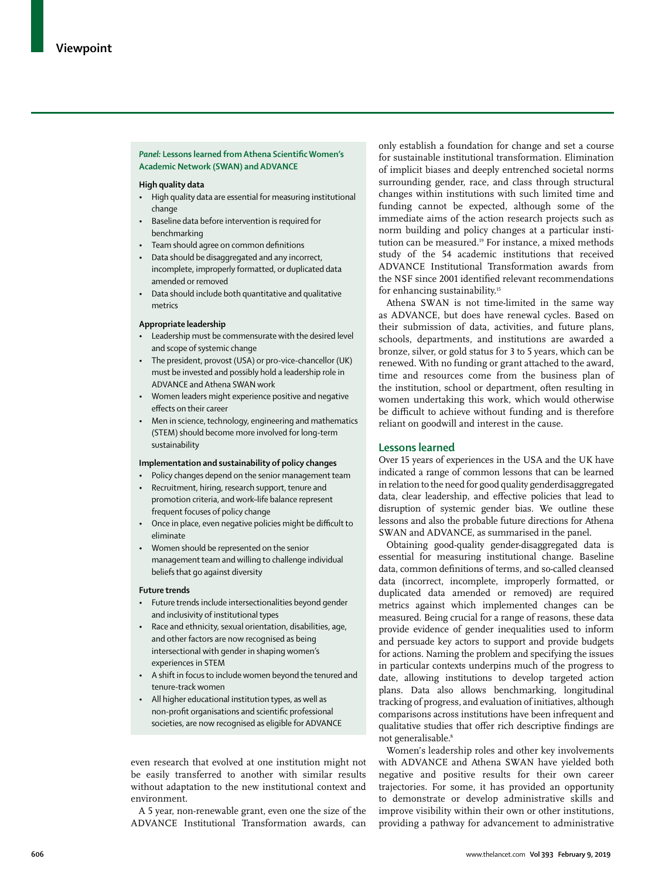# *Panel:* **Lessons learned from Athena Scientific Women's Academic Network (SWAN) and ADVANCE**

# **High quality data**

- High quality data are essential for measuring institutional change
- Baseline data before intervention is required for benchmarking
- Team should agree on common definitions
- Data should be disaggregated and any incorrect, incomplete, improperly formatted, or duplicated data amended or removed
- Data should include both quantitative and qualitative metrics

# **Appropriate leadership**

- Leadership must be commensurate with the desired level and scope of systemic change
- The president, provost (USA) or pro-vice-chancellor (UK) must be invested and possibly hold a leadership role in ADVANCE and Athena SWAN work
- Women leaders might experience positive and negative effects on their career
- Men in science, technology, engineering and mathematics (STEM) should become more involved for long-term sustainability

# **Implementation and sustainability of policy changes**

- Policy changes depend on the senior management team
- Recruitment, hiring, research support, tenure and promotion criteria, and work–life balance represent frequent focuses of policy change
- Once in place, even negative policies might be difficult to eliminate
- Women should be represented on the senior management team and willing to challenge individual beliefs that go against diversity

#### **Future trends**

- Future trends include intersectionalities beyond gender and inclusivity of institutional types
- Race and ethnicity, sexual orientation, disabilities, age, and other factors are now recognised as being intersectional with gender in shaping women's experiences in STEM
- A shift in focus to include women beyond the tenured and tenure-track women
- All higher educational institution types, as well as non-profit organisations and scientific professional societies, are now recognised as eligible for ADVANCE

even research that evolved at one institution might not be easily transferred to another with similar results without adaptation to the new institutional context and environment.

A 5 year, non-renewable grant, even one the size of the ADVANCE Institutional Transformation awards, can only establish a foundation for change and set a course for sustainable institutional transformation. Elimination of implicit biases and deeply entrenched societal norms surrounding gender, race, and class through structural changes within institutions with such limited time and funding cannot be expected, although some of the immediate aims of the action research projects such as norm building and policy changes at a particular institution can be measured.<sup>19</sup> For instance, a mixed methods study of the 54 academic institutions that received ADVANCE Institutional Transformation awards from the NSF since 2001 identified relevant recommendations for enhancing sustainability.<sup>15</sup>

Athena SWAN is not time-limited in the same way as ADVANCE, but does have renewal cycles. Based on their submission of data, activities, and future plans, schools, departments, and institutions are awarded a bronze, silver, or gold status for 3 to 5 years, which can be renewed. With no funding or grant attached to the award, time and resources come from the business plan of the institution, school or department, often resulting in women undertaking this work, which would otherwise be difficult to achieve without funding and is therefore reliant on goodwill and interest in the cause.

# **Lessons learned**

Over 15 years of experiences in the USA and the UK have indicated a range of common lessons that can be learned in relation to the need for good quality genderdisaggregated data, clear leadership, and effective policies that lead to disruption of systemic gender bias. We outline these lessons and also the probable future directions for Athena SWAN and ADVANCE, as summarised in the panel.

Obtaining good-quality gender-disaggregated data is essential for measuring institutional change. Baseline data, common definitions of terms, and so-called cleansed data (incorrect, incomplete, improperly formatted, or duplicated data amended or removed) are required metrics against which implemented changes can be measured. Being crucial for a range of reasons, these data provide evidence of gender inequalities used to inform and persuade key actors to support and provide budgets for actions. Naming the problem and specifying the issues in particular contexts underpins much of the progress to date, allowing institutions to develop targeted action plans. Data also allows benchmarking, longitudinal tracking of progress, and evaluation of initiatives, although comparisons across institutions have been infrequent and qualitative studies that offer rich descriptive findings are not generalisable.<sup>8</sup>

Women's leadership roles and other key involvements with ADVANCE and Athena SWAN have yielded both negative and positive results for their own career trajectories. For some, it has provided an opportunity to demonstrate or develop administrative skills and improve visibility within their own or other institutions, providing a pathway for advancement to administrative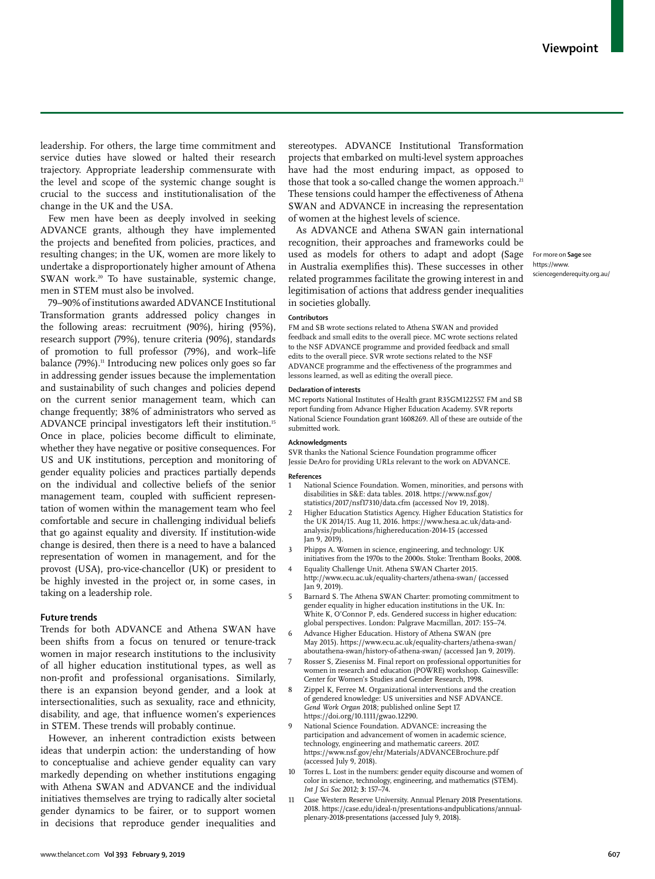leadership. For others, the large time commitment and service duties have slowed or halted their research trajectory. Appropriate leadership commensurate with the level and scope of the systemic change sought is crucial to the success and institutionalisation of the change in the UK and the USA.

Few men have been as deeply involved in seeking ADVANCE grants, although they have implemented the projects and benefited from policies, practices, and resulting changes; in the UK, women are more likely to undertake a disproportionately higher amount of Athena SWAN work.<sup>20</sup> To have sustainable, systemic change, men in STEM must also be involved.

79–90% of institutions awarded ADVANCE Institutional Transformation grants addressed policy changes in the following areas: recruitment (90%), hiring (95%), research support (79%), tenure criteria (90%), standards of promotion to full professor (79%), and work–life balance (79%).<sup>11</sup> Introducing new polices only goes so far in addressing gender issues because the implementation and sustainability of such changes and policies depend on the current senior management team, which can change frequently; 38% of administrators who served as ADVANCE principal investigators left their institution.15 Once in place, policies become difficult to eliminate, whether they have negative or positive consequences. For US and UK institutions, perception and monitoring of gender equality policies and practices partially depends on the individual and collective beliefs of the senior management team, coupled with sufficient representation of women within the management team who feel comfortable and secure in challenging individual beliefs that go against equality and diversity. If institution-wide change is desired, then there is a need to have a balanced representation of women in management, and for the provost (USA), pro-vice-chancellor (UK) or president to be highly invested in the project or, in some cases, in taking on a leadership role.

### **Future trends**

Trends for both ADVANCE and Athena SWAN have been shifts from a focus on tenured or tenure-track women in major research institutions to the inclusivity of all higher education institutional types, as well as non-profit and professional organisations. Similarly, there is an expansion beyond gender, and a look at intersectionalities, such as sexuality, race and ethnicity, disability, and age, that influence women's experiences in STEM. These trends will probably continue.

However, an inherent contradiction exists between ideas that underpin action: the understanding of how to conceptualise and achieve gender equality can vary markedly depending on whether institutions engaging with Athena SWAN and ADVANCE and the individual initiatives themselves are trying to radically alter societal gender dynamics to be fairer, or to support women in decisions that reproduce gender inequalities and stereotypes. ADVANCE Institutional Transformation projects that embarked on multi-level system approaches have had the most enduring impact, as opposed to those that took a so-called change the women approach.<sup>21</sup> These tensions could hamper the effectiveness of Athena SWAN and ADVANCE in increasing the representation of women at the highest levels of science.

As ADVANCE and Athena SWAN gain international recognition, their approaches and frameworks could be used as models for others to adapt and adopt (Sage in Australia exemplifies this). These successes in other related programmes facilitate the growing interest in and legitimisation of actions that address gender inequalities in societies globally.

**Contributors**

FM and SB wrote sections related to Athena SWAN and provided feedback and small edits to the overall piece. MC wrote sections related to the NSF ADVANCE programme and provided feedback and small edits to the overall piece. SVR wrote sections related to the NSF ADVANCE programme and the effectiveness of the programmes and lessons learned, as well as editing the overall piece.

#### **Declaration of interests**

MC reports National Institutes of Health grant R35GM122557. FM and SB report funding from Advance Higher Education Academy. SVR reports National Science Foundation grant 1608269. All of these are outside of the submitted work.

#### **Acknowledgments**

SVR thanks the National Science Foundation programme officer Jessie DeAro for providing URLs relevant to the work on ADVANCE.

#### **References**

- 1 National Science Foundation. Women, minorities, and persons with disabilities in S&E: data tables. 2018. https://www.nsf.gov/ statistics/2017/nsf17310/data.cfm (accessed Nov 19, 2018).
- 2 Higher Education Statistics Agency. Higher Education Statistics for the UK 2014/15. Aug 11, 2016. https://www.hesa.ac.uk/data-andanalysis/publications/highereducation-2014-15 (accessed Jan 9, 2019).
- Phipps A. Women in science, engineering, and technology: UK initiatives from the 1970s to the 2000s. Stoke: Trentham Books, 2008.
- 4 Equality Challenge Unit. Athena SWAN Charter 2015. http://www.ecu.ac.uk/equality-charters/athena-swan/ (accessed  $\tan 9.2019$ .
- 5 Barnard S. The Athena SWAN Charter: promoting commitment to gender equality in higher education institutions in the UK. In: White K, O'Connor P, eds. Gendered success in higher education: global perspectives. London: Palgrave Macmillan, 2017: 155–74.
- Advance Higher Education. History of Athena SWAN (pre May 2015). https://www.ecu.ac.uk/equality-charters/athena-swan/ aboutathena-swan/history-of-athena-swan/ (accessed Jan 9, 2019).
- 7 Rosser S, Zieseniss M. Final report on professional opportunities for women in research and education (POWRE) workshop. Gainesville: Center for Women's Studies and Gender Research, 1998.
- 8 Zippel K, Ferree M. Organizational interventions and the creation of gendered knowledge: US universities and NSF ADVANCE. *Gend Work Organ* 2018; published online Sept 17. https://doi.org/10.1111/gwao.12290.
- National Science Foundation. ADVANCE: increasing the participation and advancement of women in academic science, technology, engineering and mathematic careers. 2017. https://www.nsf.gov/ehr/Materials/ADVANCEBrochure.pdf (accessed July 9, 2018).
- 10 Torres L. Lost in the numbers: gender equity discourse and women of color in science, technology, engineering, and mathematics (STEM). *Int J Sci Soc* 2012; **3:** 157–74.
- Case Western Reserve University. Annual Plenary 2018 Presentations. 2018. https://case.edu/ideal-n/presentations-andpublications/annualplenary-2018-presentations (accessed July 9, 2018).

For more on **Sage** see https://www. sciencegenderequity.org.au/